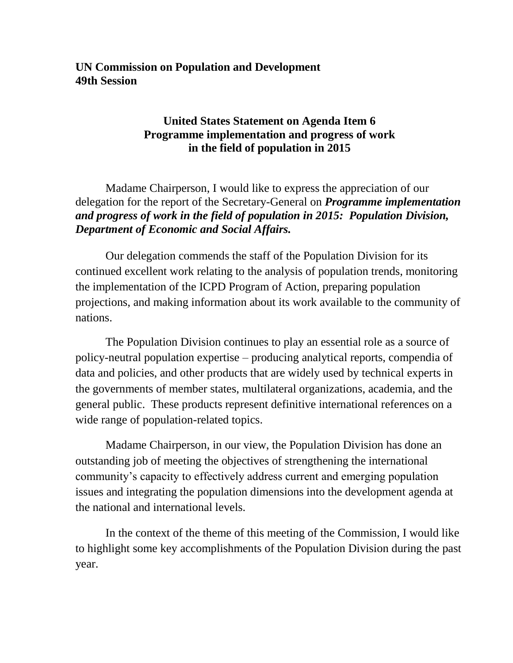## **United States Statement on Agenda Item 6 Programme implementation and progress of work in the field of population in 2015**

Madame Chairperson, I would like to express the appreciation of our delegation for the report of the Secretary-General on *Programme implementation and progress of work in the field of population in 2015: Population Division, Department of Economic and Social Affairs.*

Our delegation commends the staff of the Population Division for its continued excellent work relating to the analysis of population trends, monitoring the implementation of the ICPD Program of Action, preparing population projections, and making information about its work available to the community of nations.

The Population Division continues to play an essential role as a source of policy-neutral population expertise – producing analytical reports, compendia of data and policies, and other products that are widely used by technical experts in the governments of member states, multilateral organizations, academia, and the general public. These products represent definitive international references on a wide range of population-related topics.

Madame Chairperson, in our view, the Population Division has done an outstanding job of meeting the objectives of strengthening the international community's capacity to effectively address current and emerging population issues and integrating the population dimensions into the development agenda at the national and international levels.

In the context of the theme of this meeting of the Commission, I would like to highlight some key accomplishments of the Population Division during the past year.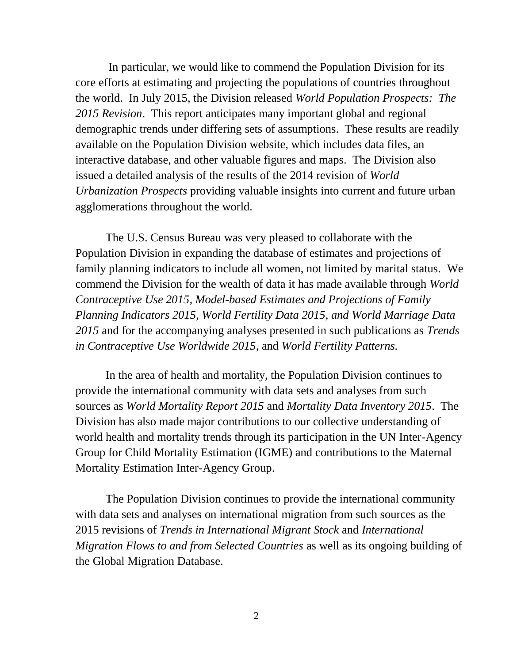In particular, we would like to commend the Population Division for its core efforts at estimating and projecting the populations of countries throughout the world. In July 2015, the Division released *World Population Prospects: The 2015 Revision*. This report anticipates many important global and regional demographic trends under differing sets of assumptions. These results are readily available on the Population Division website, which includes data files, an interactive database, and other valuable figures and maps. The Division also issued a detailed analysis of the results of the 2014 revision of *World Urbanization Prospects* providing valuable insights into current and future urban agglomerations throughout the world.

The U.S. Census Bureau was very pleased to collaborate with the Population Division in expanding the database of estimates and projections of family planning indicators to include all women, not limited by marital status. We commend the Division for the wealth of data it has made available through *World Contraceptive Use 2015, Model-based Estimates and Projections of Family Planning Indicators 2015, World Fertility Data 2015, and World Marriage Data 2015* and for the accompanying analyses presented in such publications as *Trends in Contraceptive Use Worldwide 2015*, and *World Fertility Patterns.*

In the area of health and mortality, the Population Division continues to provide the international community with data sets and analyses from such sources as *World Mortality Report 2015* and *Mortality Data Inventory 2015*. The Division has also made major contributions to our collective understanding of world health and mortality trends through its participation in the UN Inter-Agency Group for Child Mortality Estimation (IGME) and contributions to the Maternal Mortality Estimation Inter-Agency Group.

The Population Division continues to provide the international community with data sets and analyses on international migration from such sources as the 2015 revisions of *Trends in International Migrant Stock* and *International Migration Flows to and from Selected Countries* as well as its ongoing building of the Global Migration Database.